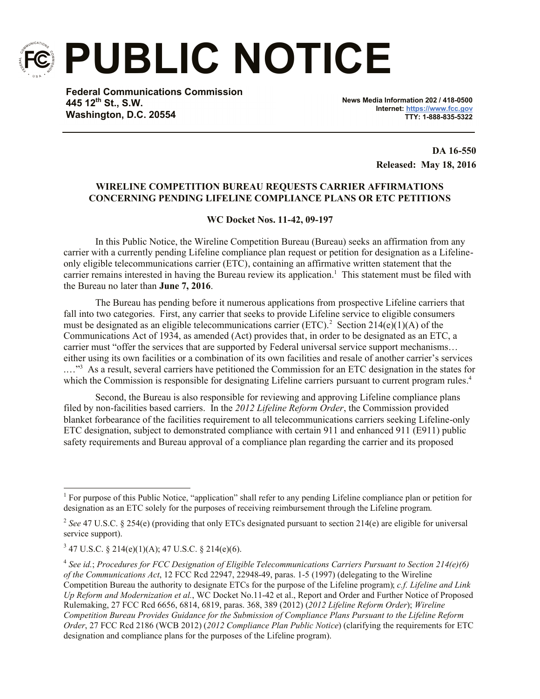

**PUBLIC NOTICE**

**Federal Communications Commission 445 12th St., S.W. Washington, D.C. 20554**

**News Media Information 202 / 418-0500 Internet: https://www.fcc.gov TTY: 1-888-835-5322**

> **DA 16-550 Released: May 18, 2016**

## **WIRELINE COMPETITION BUREAU REQUESTS CARRIER AFFIRMATIONS CONCERNING PENDING LIFELINE COMPLIANCE PLANS OR ETC PETITIONS**

## **WC Docket Nos. 11-42, 09-197**

In this Public Notice, the Wireline Competition Bureau (Bureau) seeks an affirmation from any carrier with a currently pending Lifeline compliance plan request or petition for designation as a Lifelineonly eligible telecommunications carrier (ETC), containing an affirmative written statement that the carrier remains interested in having the Bureau review its application.<sup>1</sup> This statement must be filed with the Bureau no later than **June 7, 2016**.

The Bureau has pending before it numerous applications from prospective Lifeline carriers that fall into two categories. First, any carrier that seeks to provide Lifeline service to eligible consumers must be designated as an eligible telecommunications carrier (ETC).<sup>2</sup> Section 214(e)(1)(A) of the Communications Act of 1934, as amended (Act) provides that, in order to be designated as an ETC, a carrier must "offer the services that are supported by Federal universal service support mechanisms… either using its own facilities or a combination of its own facilities and resale of another carrier's services ...."<sup>3</sup> As a result, several carriers have petitioned the Commission for an ETC designation in the states for which the Commission is responsible for designating Lifeline carriers pursuant to current program rules.<sup>4</sup>

Second, the Bureau is also responsible for reviewing and approving Lifeline compliance plans filed by non-facilities based carriers. In the *2012 Lifeline Reform Order*, the Commission provided blanket forbearance of the facilities requirement to all telecommunications carriers seeking Lifeline-only ETC designation, subject to demonstrated compliance with certain 911 and enhanced 911 (E911) public safety requirements and Bureau approval of a compliance plan regarding the carrier and its proposed

l

<sup>&</sup>lt;sup>1</sup> For purpose of this Public Notice, "application" shall refer to any pending Lifeline compliance plan or petition for designation as an ETC solely for the purposes of receiving reimbursement through the Lifeline program.

<sup>&</sup>lt;sup>2</sup> See 47 U.S.C. § 254(e) (providing that only ETCs designated pursuant to section 214(e) are eligible for universal service support).

 $3$  47 U.S.C. § 214(e)(1)(A); 47 U.S.C. § 214(e)(6).

<sup>4</sup> *See id.*; *Procedures for FCC Designation of Eligible Telecommunications Carriers Pursuant to Section 214(e)(6) of the Communications Act*, 12 FCC Rcd 22947, 22948-49, paras. 1-5 (1997) (delegating to the Wireline Competition Bureau the authority to designate ETCs for the purpose of the Lifeline program); *c.f. Lifeline and Link Up Reform and Modernization et al.*, WC Docket No.11-42 et al., Report and Order and Further Notice of Proposed Rulemaking, 27 FCC Rcd 6656, 6814, 6819, paras. 368, 389 (2012) (*2012 Lifeline Reform Order*); *Wireline Competition Bureau Provides Guidance for the Submission of Compliance Plans Pursuant to the Lifeline Reform Order*, 27 FCC Rcd 2186 (WCB 2012) (*2012 Compliance Plan Public Notice*) (clarifying the requirements for ETC designation and compliance plans for the purposes of the Lifeline program).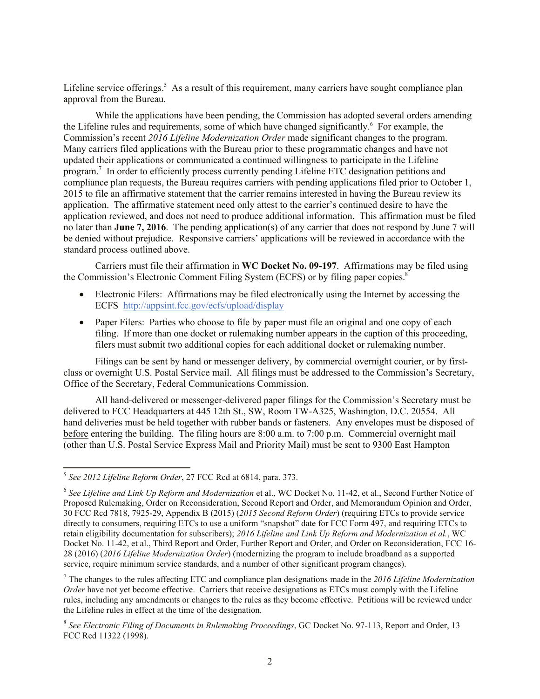Lifeline service offerings.<sup>5</sup> As a result of this requirement, many carriers have sought compliance plan approval from the Bureau.

While the applications have been pending, the Commission has adopted several orders amending the Lifeline rules and requirements, some of which have changed significantly.<sup>6</sup> For example, the Commission's recent *2016 Lifeline Modernization Order* made significant changes to the program. Many carriers filed applications with the Bureau prior to these programmatic changes and have not updated their applications or communicated a continued willingness to participate in the Lifeline program.<sup>7</sup> In order to efficiently process currently pending Lifeline ETC designation petitions and compliance plan requests, the Bureau requires carriers with pending applications filed prior to October 1, 2015 to file an affirmative statement that the carrier remains interested in having the Bureau review its application. The affirmative statement need only attest to the carrier's continued desire to have the application reviewed, and does not need to produce additional information. This affirmation must be filed no later than **June 7, 2016**. The pending application(s) of any carrier that does not respond by June 7 will be denied without prejudice. Responsive carriers' applications will be reviewed in accordance with the standard process outlined above.

Carriers must file their affirmation in **WC Docket No. 09-197**. Affirmations may be filed using the Commission's Electronic Comment Filing System (ECFS) or by filing paper copies.<sup>8</sup>

- Electronic Filers: Affirmations may be filed electronically using the Internet by accessing the ECFS http://appsint.fcc.gov/ecfs/upload/display
- Paper Filers: Parties who choose to file by paper must file an original and one copy of each filing. If more than one docket or rulemaking number appears in the caption of this proceeding, filers must submit two additional copies for each additional docket or rulemaking number.

Filings can be sent by hand or messenger delivery, by commercial overnight courier, or by firstclass or overnight U.S. Postal Service mail. All filings must be addressed to the Commission's Secretary, Office of the Secretary, Federal Communications Commission.

All hand-delivered or messenger-delivered paper filings for the Commission's Secretary must be delivered to FCC Headquarters at 445 12th St., SW, Room TW-A325, Washington, D.C. 20554. All hand deliveries must be held together with rubber bands or fasteners. Any envelopes must be disposed of before entering the building. The filing hours are 8:00 a.m. to 7:00 p.m. Commercial overnight mail (other than U.S. Postal Service Express Mail and Priority Mail) must be sent to 9300 East Hampton

l

<sup>5</sup> *See 2012 Lifeline Reform Order*, 27 FCC Rcd at 6814, para. 373.

<sup>6</sup> *See Lifeline and Link Up Reform and Modernization* et al., WC Docket No. 11-42, et al., Second Further Notice of Proposed Rulemaking, Order on Reconsideration, Second Report and Order, and Memorandum Opinion and Order, 30 FCC Rcd 7818, 7925-29, Appendix B (2015) (*2015 Second Reform Order*) (requiring ETCs to provide service directly to consumers, requiring ETCs to use a uniform "snapshot" date for FCC Form 497, and requiring ETCs to retain eligibility documentation for subscribers); *2016 Lifeline and Link Up Reform and Modernization et al.*, WC Docket No. 11-42, et al., Third Report and Order, Further Report and Order, and Order on Reconsideration, FCC 16- 28 (2016) (*2016 Lifeline Modernization Order*) (modernizing the program to include broadband as a supported service, require minimum service standards, and a number of other significant program changes).

<sup>7</sup> The changes to the rules affecting ETC and compliance plan designations made in the *2016 Lifeline Modernization Order* have not vet become effective. Carriers that receive designations as ETCs must comply with the Lifeline rules, including any amendments or changes to the rules as they become effective. Petitions will be reviewed under the Lifeline rules in effect at the time of the designation.

<sup>8</sup> *See Electronic Filing of Documents in Rulemaking Proceedings*, GC Docket No. 97-113, Report and Order, 13 FCC Rcd 11322 (1998).